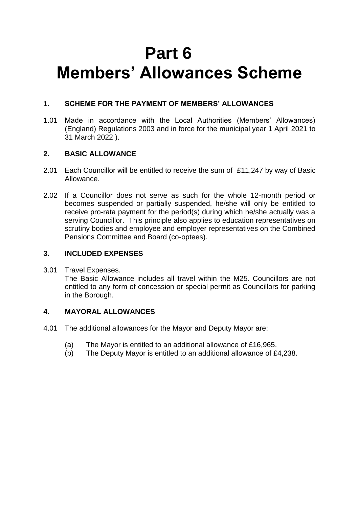# **Part 6 Members' Allowances Scheme**

# **1. SCHEME FOR THE PAYMENT OF MEMBERS' ALLOWANCES**

1.01 Made in accordance with the Local Authorities (Members' Allowances) (England) Regulations 2003 and in force for the municipal year 1 April 2021 to 31 March 2022 ).

# **2. BASIC ALLOWANCE**

- 2.01 Each Councillor will be entitled to receive the sum of £11,247 by way of Basic Allowance.
- 2.02 If a Councillor does not serve as such for the whole 12-month period or becomes suspended or partially suspended, he/she will only be entitled to receive pro-rata payment for the period(s) during which he/she actually was a serving Councillor. This principle also applies to education representatives on scrutiny bodies and employee and employer representatives on the Combined Pensions Committee and Board (co-optees).

# **3. INCLUDED EXPENSES**

3.01 Travel Expenses.

The Basic Allowance includes all travel within the M25. Councillors are not entitled to any form of concession or special permit as Councillors for parking in the Borough.

# **4. MAYORAL ALLOWANCES**

- 4.01 The additional allowances for the Mayor and Deputy Mayor are:
	- (a) The Mayor is entitled to an additional allowance of £16,965.
	- (b) The Deputy Mayor is entitled to an additional allowance of £4,238.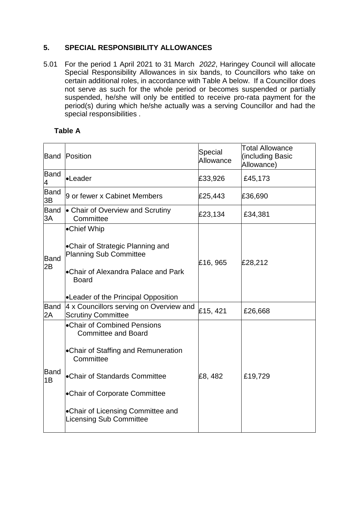# **5. SPECIAL RESPONSIBILITY ALLOWANCES**

5.01 For the period 1 April 2021 to 31 March *2022*, Haringey Council will allocate Special Responsibility Allowances in six bands, to Councillors who take on certain additional roles, in accordance with Table A below. If a Councillor does not serve as such for the whole period or becomes suspended or partially suspended, he/she will only be entitled to receive pro-rata payment for the period(s) during which he/she actually was a serving Councillor and had the special responsibilities .

# **Table A**

| Band              | Position                                                                                                                                                                                                                                                       | Special<br>Allowance | <b>Total Allowance</b><br>(including Basic<br>Allowance) |
|-------------------|----------------------------------------------------------------------------------------------------------------------------------------------------------------------------------------------------------------------------------------------------------------|----------------------|----------------------------------------------------------|
| <b>Band</b><br>4  | •Leader                                                                                                                                                                                                                                                        | £33,926              | £45,173                                                  |
| <b>Band</b><br>3B | 9 or fewer x Cabinet Members                                                                                                                                                                                                                                   | £25,443              | £36,690                                                  |
| Band<br>3A        | • Chair of Overview and Scrutiny<br>Committee                                                                                                                                                                                                                  | £23,134              | £34,381                                                  |
| <b>Band</b><br>2B | •Chief Whip<br>•Chair of Strategic Planning and<br><b>Planning Sub Committee</b><br><b>Chair of Alexandra Palace and Park</b><br><b>Board</b><br><b>-Leader of the Principal Opposition</b>                                                                    | £16, 965             | £28,212                                                  |
| <b>Band</b><br>2A | 4 x Councillors serving on Overview and<br><b>Scrutiny Committee</b>                                                                                                                                                                                           | £15, 421             | £26,668                                                  |
| Band<br>1B        | •Chair of Combined Pensions<br><b>Committee and Board</b><br>•Chair of Staffing and Remuneration<br>Committee<br><b>.</b> Chair of Standards Committee<br>•Chair of Corporate Committee<br>•Chair of Licensing Committee and<br><b>Licensing Sub Committee</b> | £8,482               | £19,729                                                  |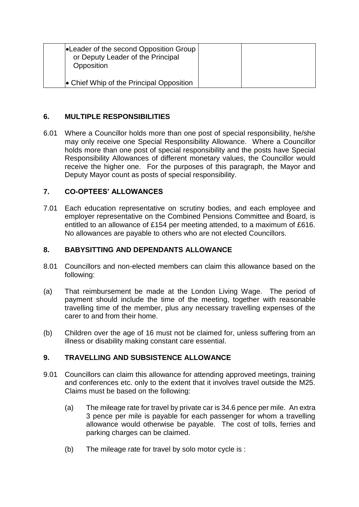| <b>Leader of the second Opposition Group</b><br>or Deputy Leader of the Principal<br>Opposition |  |
|-------------------------------------------------------------------------------------------------|--|
| • Chief Whip of the Principal Opposition                                                        |  |

## **6. MULTIPLE RESPONSIBILITIES**

6.01 Where a Councillor holds more than one post of special responsibility, he/she may only receive one Special Responsibility Allowance. Where a Councillor holds more than one post of special responsibility and the posts have Special Responsibility Allowances of different monetary values, the Councillor would receive the higher one. For the purposes of this paragraph, the Mayor and Deputy Mayor count as posts of special responsibility.

## **7. CO-OPTEES' ALLOWANCES**

7.01 Each education representative on scrutiny bodies, and each employee and employer representative on the Combined Pensions Committee and Board, is entitled to an allowance of £154 per meeting attended, to a maximum of £616. No allowances are payable to others who are not elected Councillors.

## **8. BABYSITTING AND DEPENDANTS ALLOWANCE**

- 8.01 Councillors and non-elected members can claim this allowance based on the following:
- (a) That reimbursement be made at the London Living Wage. The period of payment should include the time of the meeting, together with reasonable travelling time of the member, plus any necessary travelling expenses of the carer to and from their home.
- (b) Children over the age of 16 must not be claimed for, unless suffering from an illness or disability making constant care essential.

# **9. TRAVELLING AND SUBSISTENCE ALLOWANCE**

- 9.01 Councillors can claim this allowance for attending approved meetings, training and conferences etc. only to the extent that it involves travel outside the M25. Claims must be based on the following:
	- (a) The mileage rate for travel by private car is 34.6 pence per mile. An extra 3 pence per mile is payable for each passenger for whom a travelling allowance would otherwise be payable. The cost of tolls, ferries and parking charges can be claimed.
	- (b) The mileage rate for travel by solo motor cycle is :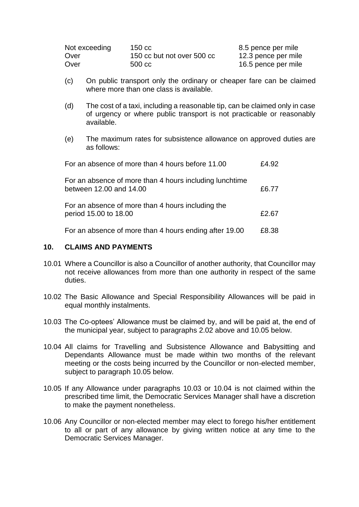| Not exceeding | 150 cc                     | 8.5 pence per mile  |
|---------------|----------------------------|---------------------|
| Over          | 150 cc but not over 500 cc | 12.3 pence per mile |
| Over          | 500 cc                     | 16.5 pence per mile |

- (c) On public transport only the ordinary or cheaper fare can be claimed where more than one class is available.
- (d) The cost of a taxi, including a reasonable tip, can be claimed only in case of urgency or where public transport is not practicable or reasonably available.
- (e) The maximum rates for subsistence allowance on approved duties are as follows:

| For an absence of more than 4 hours before 11.00                                   | £4.92 |
|------------------------------------------------------------------------------------|-------|
| For an absence of more than 4 hours including lunchtime<br>between 12.00 and 14.00 | £6.77 |
| For an absence of more than 4 hours including the<br>period 15.00 to 18.00         | £2.67 |
| For an absence of more than 4 hours ending after 19.00                             | £8.38 |

#### **10. CLAIMS AND PAYMENTS**

- 10.01 Where a Councillor is also a Councillor of another authority, that Councillor may not receive allowances from more than one authority in respect of the same duties.
- 10.02 The Basic Allowance and Special Responsibility Allowances will be paid in equal monthly instalments.
- 10.03 The Co-optees' Allowance must be claimed by, and will be paid at, the end of the municipal year, subject to paragraphs 2.02 above and 10.05 below.
- 10.04 All claims for Travelling and Subsistence Allowance and Babysitting and Dependants Allowance must be made within two months of the relevant meeting or the costs being incurred by the Councillor or non-elected member, subject to paragraph 10.05 below.
- 10.05 If any Allowance under paragraphs 10.03 or 10.04 is not claimed within the prescribed time limit, the Democratic Services Manager shall have a discretion to make the payment nonetheless.
- 10.06 Any Councillor or non-elected member may elect to forego his/her entitlement to all or part of any allowance by giving written notice at any time to the Democratic Services Manager.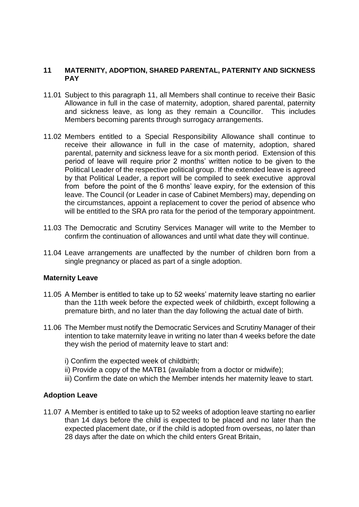#### **11 MATERNITY, ADOPTION, SHARED PARENTAL, PATERNITY AND SICKNESS PAY**

- 11.01 Subject to this paragraph 11, all Members shall continue to receive their Basic Allowance in full in the case of maternity, adoption, shared parental, paternity and sickness leave, as long as they remain a Councillor. This includes Members becoming parents through surrogacy arrangements.
- 11.02 Members entitled to a Special Responsibility Allowance shall continue to receive their allowance in full in the case of maternity, adoption, shared parental, paternity and sickness leave for a six month period. Extension of this period of leave will require prior 2 months' written notice to be given to the Political Leader of the respective political group. If the extended leave is agreed by that Political Leader, a report will be compiled to seek executive approval from before the point of the 6 months' leave expiry, for the extension of this leave. The Council (or Leader in case of Cabinet Members) may, depending on the circumstances, appoint a replacement to cover the period of absence who will be entitled to the SRA pro rata for the period of the temporary appointment.
- 11.03 The Democratic and Scrutiny Services Manager will write to the Member to confirm the continuation of allowances and until what date they will continue.
- 11.04 Leave arrangements are unaffected by the number of children born from a single pregnancy or placed as part of a single adoption.

#### **Maternity Leave**

- 11.05 A Member is entitled to take up to 52 weeks' maternity leave starting no earlier than the 11th week before the expected week of childbirth, except following a premature birth, and no later than the day following the actual date of birth.
- 11.06 The Member must notify the Democratic Services and Scrutiny Manager of their intention to take maternity leave in writing no later than 4 weeks before the date they wish the period of maternity leave to start and:
	- i) Confirm the expected week of childbirth;
	- ii) Provide a copy of the MATB1 (available from a doctor or midwife);
	- iii) Confirm the date on which the Member intends her maternity leave to start.

### **Adoption Leave**

11.07 A Member is entitled to take up to 52 weeks of adoption leave starting no earlier than 14 days before the child is expected to be placed and no later than the expected placement date, or if the child is adopted from overseas, no later than 28 days after the date on which the child enters Great Britain,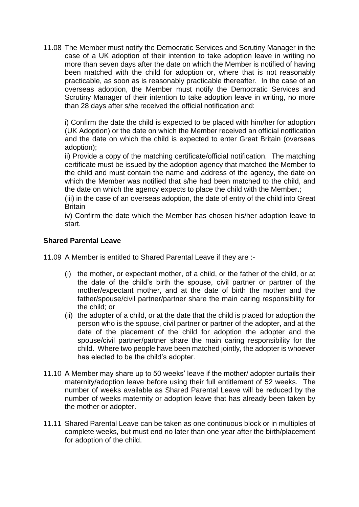11.08 The Member must notify the Democratic Services and Scrutiny Manager in the case of a UK adoption of their intention to take adoption leave in writing no more than seven days after the date on which the Member is notified of having been matched with the child for adoption or, where that is not reasonably practicable, as soon as is reasonably practicable thereafter. In the case of an overseas adoption, the Member must notify the Democratic Services and Scrutiny Manager of their intention to take adoption leave in writing, no more than 28 days after s/he received the official notification and:

i) Confirm the date the child is expected to be placed with him/her for adoption (UK Adoption) or the date on which the Member received an official notification and the date on which the child is expected to enter Great Britain (overseas adoption);

ii) Provide a copy of the matching certificate/official notification. The matching certificate must be issued by the adoption agency that matched the Member to the child and must contain the name and address of the agency, the date on which the Member was notified that s/he had been matched to the child, and the date on which the agency expects to place the child with the Member.;

(iii) in the case of an overseas adoption, the date of entry of the child into Great **Britain** 

iv) Confirm the date which the Member has chosen his/her adoption leave to start.

## **Shared Parental Leave**

11.09 A Member is entitled to Shared Parental Leave if they are :-

- (i) the mother, or expectant mother, of a child, or the father of the child, or at the date of the child's birth the spouse, civil partner or partner of the mother/expectant mother, and at the date of birth the mother and the father/spouse/civil partner/partner share the main caring responsibility for the child; or
- (ii) the adopter of a child, or at the date that the child is placed for adoption the person who is the spouse, civil partner or partner of the adopter, and at the date of the placement of the child for adoption the adopter and the spouse/civil partner/partner share the main caring responsibility for the child. Where two people have been matched jointly, the adopter is whoever has elected to be the child's adopter.
- 11.10 A Member may share up to 50 weeks' leave if the mother/ adopter curtails their maternity/adoption leave before using their full entitlement of 52 weeks. The number of weeks available as Shared Parental Leave will be reduced by the number of weeks maternity or adoption leave that has already been taken by the mother or adopter.
- 11.11 Shared Parental Leave can be taken as one continuous block or in multiples of complete weeks, but must end no later than one year after the birth/placement for adoption of the child.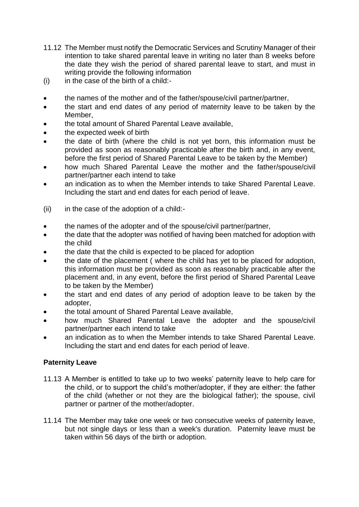- 11.12 The Member must notify the Democratic Services and Scrutiny Manager of their intention to take shared parental leave in writing no later than 8 weeks before the date they wish the period of shared parental leave to start, and must in writing provide the following information
- (i) in the case of the birth of a child:-
- the names of the mother and of the father/spouse/civil partner/partner,
- the start and end dates of any period of maternity leave to be taken by the Member,
- the total amount of Shared Parental Leave available,
- the expected week of birth
- the date of birth (where the child is not yet born, this information must be provided as soon as reasonably practicable after the birth and, in any event, before the first period of Shared Parental Leave to be taken by the Member)
- how much Shared Parental Leave the mother and the father/spouse/civil partner/partner each intend to take
- an indication as to when the Member intends to take Shared Parental Leave. Including the start and end dates for each period of leave.
- (ii) in the case of the adoption of a child:-
- the names of the adopter and of the spouse/civil partner/partner,
- the date that the adopter was notified of having been matched for adoption with the child
- the date that the child is expected to be placed for adoption
- the date of the placement ( where the child has yet to be placed for adoption, this information must be provided as soon as reasonably practicable after the placement and, in any event, before the first period of Shared Parental Leave to be taken by the Member)
- the start and end dates of any period of adoption leave to be taken by the adopter,
- the total amount of Shared Parental Leave available,
- how much Shared Parental Leave the adopter and the spouse/civil partner/partner each intend to take
- an indication as to when the Member intends to take Shared Parental Leave. Including the start and end dates for each period of leave.

# **Paternity Leave**

- 11.13 A Member is entitled to take up to two weeks' paternity leave to help care for the child, or to support the child's mother/adopter, if they are either: the father of the child (whether or not they are the biological father); the spouse, civil partner or partner of the mother/adopter.
- 11.14 The Member may take one week or two consecutive weeks of paternity leave, but not single days or less than a week's duration. Paternity leave must be taken within 56 days of the birth or adoption.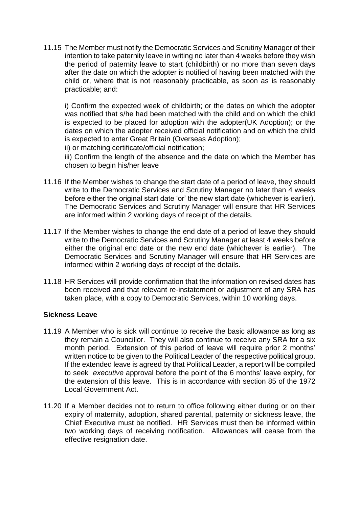11.15 The Member must notify the Democratic Services and Scrutiny Manager of their intention to take paternity leave in writing no later than 4 weeks before they wish the period of paternity leave to start (childbirth) or no more than seven days after the date on which the adopter is notified of having been matched with the child or, where that is not reasonably practicable, as soon as is reasonably practicable; and:

i) Confirm the expected week of childbirth; or the dates on which the adopter was notified that s/he had been matched with the child and on which the child is expected to be placed for adoption with the adopter(UK Adoption); or the dates on which the adopter received official notification and on which the child is expected to enter Great Britain (Overseas Adoption);

ii) or matching certificate/official notification;

iii) Confirm the length of the absence and the date on which the Member has chosen to begin his/her leave

- 11.16 If the Member wishes to change the start date of a period of leave, they should write to the Democratic Services and Scrutiny Manager no later than 4 weeks before either the original start date 'or' the new start date (whichever is earlier). The Democratic Services and Scrutiny Manager will ensure that HR Services are informed within 2 working days of receipt of the details.
- 11.17 If the Member wishes to change the end date of a period of leave they should write to the Democratic Services and Scrutiny Manager at least 4 weeks before either the original end date or the new end date (whichever is earlier). The Democratic Services and Scrutiny Manager will ensure that HR Services are informed within 2 working days of receipt of the details.
- 11.18 HR Services will provide confirmation that the information on revised dates has been received and that relevant re-instatement or adjustment of any SRA has taken place, with a copy to Democratic Services, within 10 working days.

### **Sickness Leave**

- 11.19 A Member who is sick will continue to receive the basic allowance as long as they remain a Councillor. They will also continue to receive any SRA for a six month period. Extension of this period of leave will require prior 2 months' written notice to be given to the Political Leader of the respective political group. If the extended leave is agreed by that Political Leader, a report will be compiled to seek *executive* approval before the point of the 6 months' leave expiry, for the extension of this leave. This is in accordance with section 85 of the 1972 Local Government Act.
- 11.20 If a Member decides not to return to office following either during or on their expiry of maternity, adoption, shared parental, paternity or sickness leave, the Chief Executive must be notified. HR Services must then be informed within two working days of receiving notification. Allowances will cease from the effective resignation date.